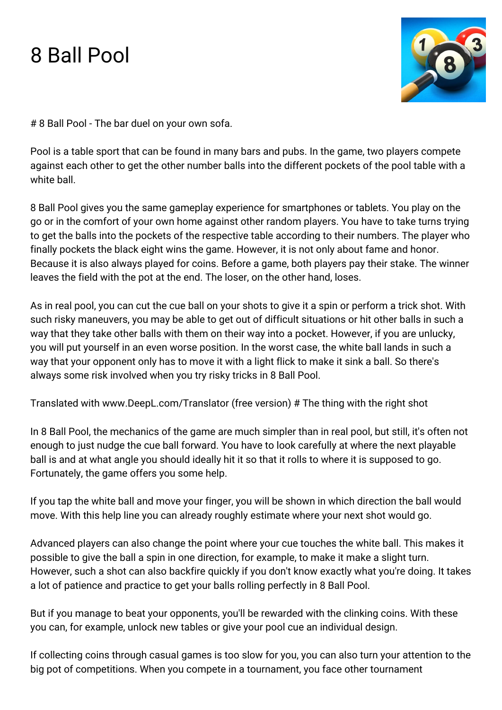## 8 Ball Pool



# 8 Ball Pool - The bar duel on your own sofa.

Pool is a table sport that can be found in many bars and pubs. In the game, two players compete against each other to get the other number balls into the different pockets of the pool table with a white ball.

8 Ball Pool gives you the same gameplay experience for smartphones or tablets. You play on the go or in the comfort of your own home against other random players. You have to take turns trying to get the balls into the pockets of the respective table according to their numbers. The player who finally pockets the black eight wins the game. However, it is not only about fame and honor. Because it is also always played for coins. Before a game, both players pay their stake. The winner leaves the field with the pot at the end. The loser, on the other hand, loses.

As in real pool, you can cut the cue ball on your shots to give it a spin or perform a trick shot. With such risky maneuvers, you may be able to get out of difficult situations or hit other balls in such a way that they take other balls with them on their way into a pocket. However, if you are unlucky, you will put yourself in an even worse position. In the worst case, the white ball lands in such a way that your opponent only has to move it with a light flick to make it sink a ball. So there's always some risk involved when you try risky tricks in 8 Ball Pool.

Translated with www.DeepL.com/Translator (free version) # The thing with the right shot

In 8 Ball Pool, the mechanics of the game are much simpler than in real pool, but still, it's often not enough to just nudge the cue ball forward. You have to look carefully at where the next playable ball is and at what angle you should ideally hit it so that it rolls to where it is supposed to go. Fortunately, the game offers you some help.

If you tap the white ball and move your finger, you will be shown in which direction the ball would move. With this help line you can already roughly estimate where your next shot would go.

Advanced players can also change the point where your cue touches the white ball. This makes it possible to give the ball a spin in one direction, for example, to make it make a slight turn. However, such a shot can also backfire quickly if you don't know exactly what you're doing. It takes a lot of patience and practice to get your balls rolling perfectly in 8 Ball Pool.

But if you manage to beat your opponents, you'll be rewarded with the clinking coins. With these you can, for example, unlock new tables or give your pool cue an individual design.

If collecting coins through casual games is too slow for you, you can also turn your attention to the big pot of competitions. When you compete in a tournament, you face other tournament